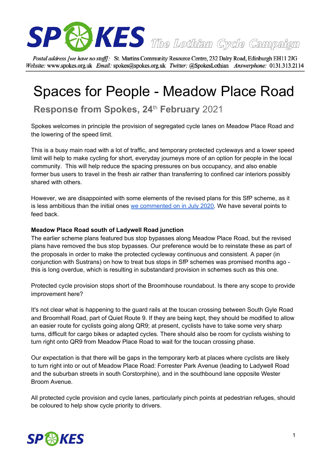

Postal address [we have no staff]: St. Martins Community Resource Centre, 232 Dalry Road, Edinburgh EH11 2JG Website: www.spokes.org.uk Email: spokes@spokes.org.uk Twitter: @SpokesLothian Answerphone: 0131.313.2114

# Spaces for People - Meadow Place Road

# **Response from Spokes, 24** th **February** 2021

Spokes welcomes in principle the provision of segregated cycle lanes on Meadow Place Road and the lowering of the speed limit.

This is a busy main road with a lot of traffic, and temporary protected cycleways and a lower speed limit will help to make cycling for short, everyday journeys more of an option for people in the local community. This will help reduce the spacing pressures on bus occupancy, and also enable former bus users to travel in the fresh air rather than transferring to confined car interiors possibly shared with others.

However, we are disappointed with some elements of the revised plans for this SfP scheme, as it is less ambitious than the initial ones we [commented](http://www.spokes.org.uk/wp-content/uploads/2020/07/SfP-Meadow-Place-Road-Spokes-response.pdf) on in July 2020. We have several points to feed back.

#### **Meadow Place Road south of Ladywell Road junction**

The earlier scheme plans featured bus stop bypasses along Meadow Place Road, but the revised plans have removed the bus stop bypasses. Our preference would be to reinstate these as part of the proposals in order to make the protected cycleway continuous and consistent. A paper (in conjunction with Sustrans) on how to treat bus stops in SfP schemes was promised months ago this is long overdue, which is resulting in substandard provision in schemes such as this one.

Protected cycle provision stops short of the Broomhouse roundabout. Is there any scope to provide improvement here?

It's not clear what is happening to the guard rails at the toucan crossing between South Gyle Road and Broomhall Road, part of Quiet Route 9. If they are being kept, they should be modified to allow an easier route for cyclists going along QR9; at present, cyclists have to take some very sharp turns, difficult for cargo bikes or adapted cycles. There should also be room for cyclists wishing to turn right onto QR9 from Meadow Place Road to wait for the toucan crossing phase.

Our expectation is that there will be gaps in the temporary kerb at places where cyclists are likely to turn right into or out of Meadow Place Road: Forrester Park Avenue (leading to Ladywell Road and the suburban streets in south Corstorphine), and in the southbound lane opposite Wester Broom Avenue.

All protected cycle provision and cycle lanes, particularly pinch points at pedestrian refuges, should be coloured to help show cycle priority to drivers.